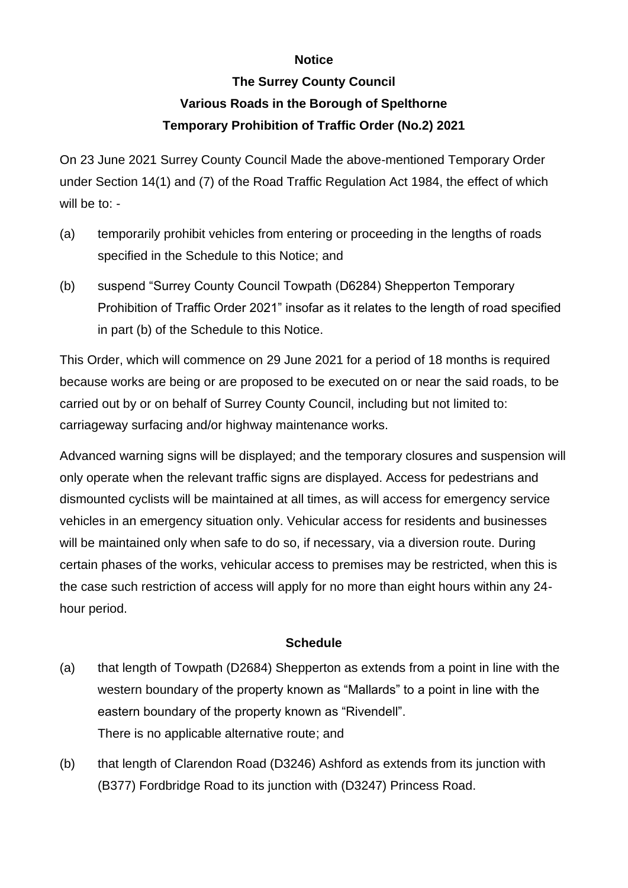## **Notice**

## **The Surrey County Council Various Roads in the Borough of Spelthorne Temporary Prohibition of Traffic Order (No.2) 2021**

On 23 June 2021 Surrey County Council Made the above-mentioned Temporary Order under Section 14(1) and (7) of the Road Traffic Regulation Act 1984, the effect of which will be to: -

- (a) temporarily prohibit vehicles from entering or proceeding in the lengths of roads specified in the Schedule to this Notice; and
- (b) suspend "Surrey County Council Towpath (D6284) Shepperton Temporary Prohibition of Traffic Order 2021" insofar as it relates to the length of road specified in part (b) of the Schedule to this Notice.

This Order, which will commence on 29 June 2021 for a period of 18 months is required because works are being or are proposed to be executed on or near the said roads, to be carried out by or on behalf of Surrey County Council, including but not limited to: carriageway surfacing and/or highway maintenance works.

Advanced warning signs will be displayed; and the temporary closures and suspension will only operate when the relevant traffic signs are displayed. Access for pedestrians and dismounted cyclists will be maintained at all times, as will access for emergency service vehicles in an emergency situation only. Vehicular access for residents and businesses will be maintained only when safe to do so, if necessary, via a diversion route. During certain phases of the works, vehicular access to premises may be restricted, when this is the case such restriction of access will apply for no more than eight hours within any 24 hour period.

## **Schedule**

- (a) that length of Towpath (D2684) Shepperton as extends from a point in line with the western boundary of the property known as "Mallards" to a point in line with the eastern boundary of the property known as "Rivendell". There is no applicable alternative route; and
- (b) that length of Clarendon Road (D3246) Ashford as extends from its junction with (B377) Fordbridge Road to its junction with (D3247) Princess Road.